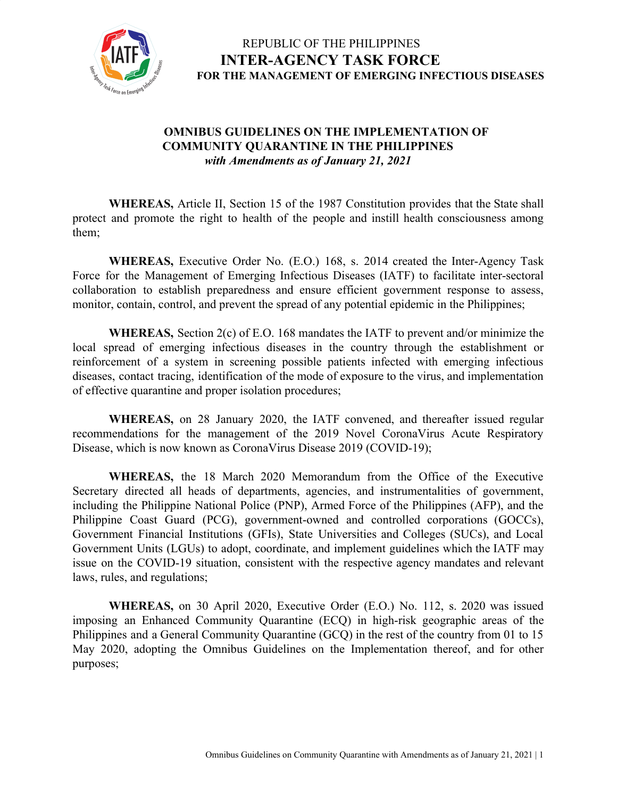

#### **OMNIBUS GUIDELINES ON THE IMPLEMENTATION OF COMMUNITY QUARANTINE IN THE PHILIPPINES** *with Amendments as of January 21, 2021*

**WHEREAS,** Article II, Section 15 of the 1987 Constitution provides that the State shall protect and promote the right to health of the people and instill health consciousness among them;

**WHEREAS,** Executive Order No. (E.O.) 168, s. 2014 created the Inter-Agency Task Force for the Management of Emerging Infectious Diseases (IATF) to facilitate inter-sectoral collaboration to establish preparedness and ensure efficient government response to assess, monitor, contain, control, and prevent the spread of any potential epidemic in the Philippines;

**WHEREAS,** Section 2(c) of E.O. 168 mandates the IATF to prevent and/or minimize the local spread of emerging infectious diseases in the country through the establishment or reinforcement of a system in screening possible patients infected with emerging infectious diseases, contact tracing, identification of the mode of exposure to the virus, and implementation of effective quarantine and proper isolation procedures;

**WHEREAS,** on 28 January 2020, the IATF convened, and thereafter issued regular recommendations for the management of the 2019 Novel CoronaVirus Acute Respiratory Disease, which is now known as CoronaVirus Disease 2019 (COVID-19);

**WHEREAS,** the 18 March 2020 Memorandum from the Office of the Executive Secretary directed all heads of departments, agencies, and instrumentalities of government, including the Philippine National Police (PNP), Armed Force of the Philippines (AFP), and the Philippine Coast Guard (PCG), government-owned and controlled corporations (GOCCs), Government Financial Institutions (GFIs), State Universities and Colleges (SUCs), and Local Government Units (LGUs) to adopt, coordinate, and implement guidelines which the IATF may issue on the COVID-19 situation, consistent with the respective agency mandates and relevant laws, rules, and regulations;

**WHEREAS,** on 30 April 2020, Executive Order (E.O.) No. 112, s. 2020 was issued imposing an Enhanced Community Quarantine (ECQ) in high-risk geographic areas of the Philippines and a General Community Quarantine (GCQ) in the rest of the country from 01 to 15 May 2020, adopting the Omnibus Guidelines on the Implementation thereof, and for other purposes;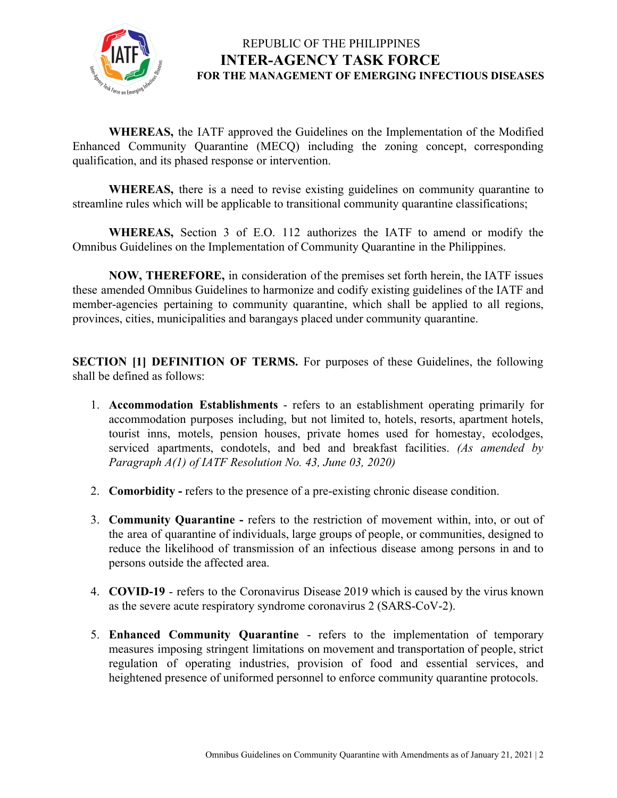

**WHEREAS,** the IATF approved the Guidelines on the Implementation of the Modified Enhanced Community Quarantine (MECQ) including the zoning concept, corresponding qualification, and its phased response or intervention.

**WHEREAS,** there is a need to revise existing guidelines on community quarantine to streamline rules which will be applicable to transitional community quarantine classifications;

**WHEREAS,** Section 3 of E.O. 112 authorizes the IATF to amend or modify the Omnibus Guidelines on the Implementation of Community Quarantine in the Philippines.

**NOW, THEREFORE,** in consideration of the premises set forth herein, the IATF issues these amended Omnibus Guidelines to harmonize and codify existing guidelines of the IATF and member-agencies pertaining to community quarantine, which shall be applied to all regions, provinces, cities, municipalities and barangays placed under community quarantine.

**SECTION [1] DEFINITION OF TERMS.** For purposes of these Guidelines, the following shall be defined as follows:

- 1. **Accommodation Establishments** refers to an establishment operating primarily for accommodation purposes including, but not limited to, hotels, resorts, apartment hotels, tourist inns, motels, pension houses, private homes used for homestay, ecolodges, serviced apartments, condotels, and bed and breakfast facilities. *(As amended by Paragraph A(1) of IATF Resolution No. 43, June 03, 2020)*
- 2. **Comorbidity** refers to the presence of a pre-existing chronic disease condition.
- 3. **Community Quarantine -** refers to the restriction of movement within, into, or out of the area of quarantine of individuals, large groups of people, or communities, designed to reduce the likelihood of transmission of an infectious disease among persons in and to persons outside the affected area.
- 4. **COVID-19** refers to the Coronavirus Disease 2019 which is caused by the virus known as the severe acute respiratory syndrome coronavirus 2 (SARS-CoV-2).
- 5. **Enhanced Community Quarantine** refers to the implementation of temporary measures imposing stringent limitations on movement and transportation of people, strict regulation of operating industries, provision of food and essential services, and heightened presence of uniformed personnel to enforce community quarantine protocols.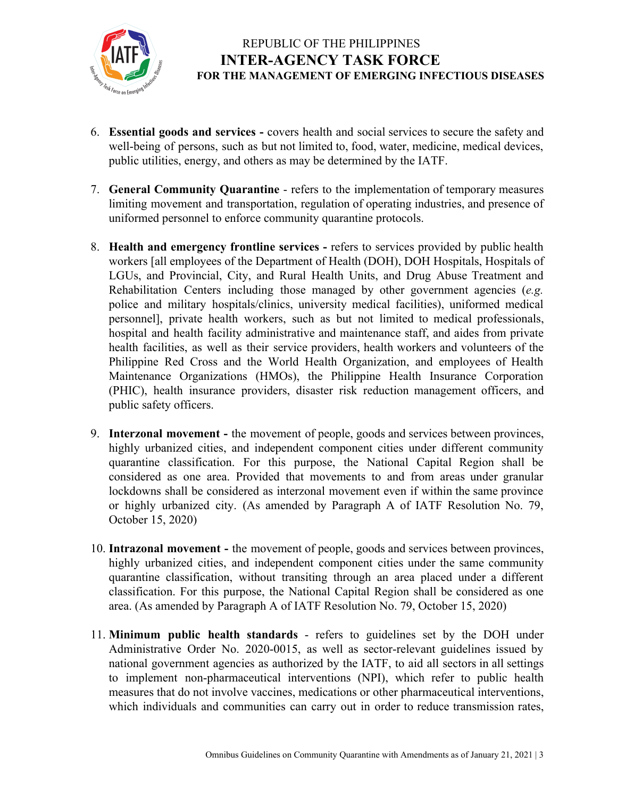

- 6. **Essential goods and services -** covers health and social services to secure the safety and well-being of persons, such as but not limited to, food, water, medicine, medical devices, public utilities, energy, and others as may be determined by the IATF.
- 7. **General Community Quarantine** refers to the implementation of temporary measures limiting movement and transportation, regulation of operating industries, and presence of uniformed personnel to enforce community quarantine protocols.
- 8. **Health and emergency frontline services -** refers to services provided by public health workers [all employees of the Department of Health (DOH), DOH Hospitals, Hospitals of LGUs, and Provincial, City, and Rural Health Units, and Drug Abuse Treatment and Rehabilitation Centers including those managed by other government agencies (*e.g.* police and military hospitals/clinics, university medical facilities), uniformed medical personnel], private health workers, such as but not limited to medical professionals, hospital and health facility administrative and maintenance staff, and aides from private health facilities, as well as their service providers, health workers and volunteers of the Philippine Red Cross and the World Health Organization, and employees of Health Maintenance Organizations (HMOs), the Philippine Health Insurance Corporation (PHIC), health insurance providers, disaster risk reduction management officers, and public safety officers.
- 9. **Interzonal movement -** the movement of people, goods and services between provinces, highly urbanized cities, and independent component cities under different community quarantine classification. For this purpose, the National Capital Region shall be considered as one area. Provided that movements to and from areas under granular lockdowns shall be considered as interzonal movement even if within the same province or highly urbanized city. (As amended by Paragraph A of IATF Resolution No. 79, October 15, 2020)
- 10. **Intrazonal movement -** the movement of people, goods and services between provinces, highly urbanized cities, and independent component cities under the same community quarantine classification, without transiting through an area placed under a different classification. For this purpose, the National Capital Region shall be considered as one area. (As amended by Paragraph A of IATF Resolution No. 79, October 15, 2020)
- 11. **Minimum public health standards** refers to guidelines set by the DOH under Administrative Order No. 2020-0015, as well as sector-relevant guidelines issued by national government agencies as authorized by the IATF, to aid all sectors in all settings to implement non-pharmaceutical interventions (NPI), which refer to public health measures that do not involve vaccines, medications or other pharmaceutical interventions, which individuals and communities can carry out in order to reduce transmission rates,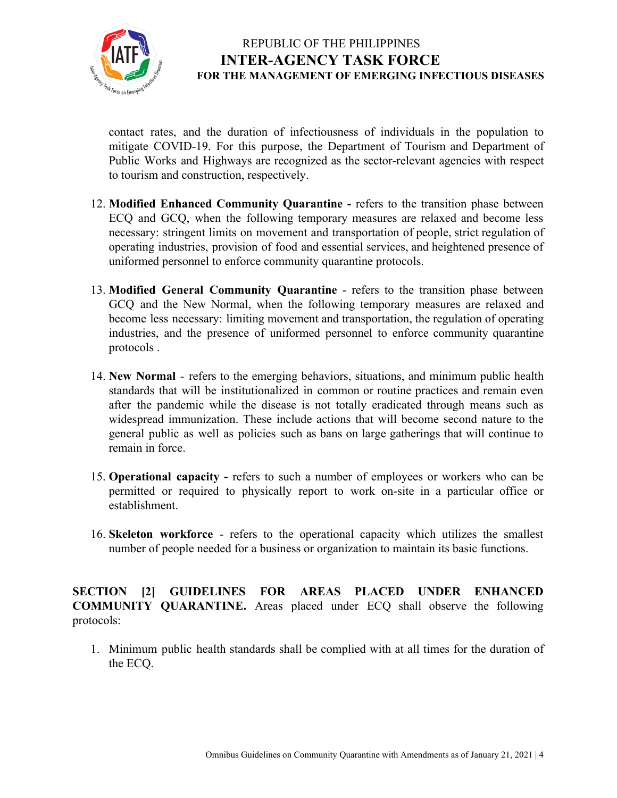

contact rates, and the duration of infectiousness of individuals in the population to mitigate COVID-19. For this purpose, the Department of Tourism and Department of Public Works and Highways are recognized as the sector-relevant agencies with respect to tourism and construction, respectively.

- 12. **Modified Enhanced Community Quarantine -** refers to the transition phase between ECQ and GCQ, when the following temporary measures are relaxed and become less necessary: stringent limits on movement and transportation of people, strict regulation of operating industries, provision of food and essential services, and heightened presence of uniformed personnel to enforce community quarantine protocols.
- 13. **Modified General Community Quarantine** refers to the transition phase between GCQ and the New Normal, when the following temporary measures are relaxed and become less necessary: limiting movement and transportation, the regulation of operating industries, and the presence of uniformed personnel to enforce community quarantine protocols .
- 14. **New Normal** refers to the emerging behaviors, situations, and minimum public health standards that will be institutionalized in common or routine practices and remain even after the pandemic while the disease is not totally eradicated through means such as widespread immunization. These include actions that will become second nature to the general public as well as policies such as bans on large gatherings that will continue to remain in force.
- 15. **Operational capacity -** refers to such a number of employees or workers who can be permitted or required to physically report to work on-site in a particular office or establishment.
- 16. **Skeleton workforce** refers to the operational capacity which utilizes the [smallest](https://dictionary.cambridge.org/us/dictionary/english/small) [number](https://dictionary.cambridge.org/us/dictionary/english/number) of [people](https://dictionary.cambridge.org/us/dictionary/english/people) [needed](https://dictionary.cambridge.org/us/dictionary/english/needed) for a [business](https://dictionary.cambridge.org/us/dictionary/english/business) or [organization](https://dictionary.cambridge.org/us/dictionary/english/organization) to maintain its basic functions.

**SECTION [2] GUIDELINES FOR AREAS PLACED UNDER ENHANCED COMMUNITY QUARANTINE.** Areas placed under ECQ shall observe the following protocols:

1. Minimum public health standards shall be complied with at all times for the duration of the ECQ.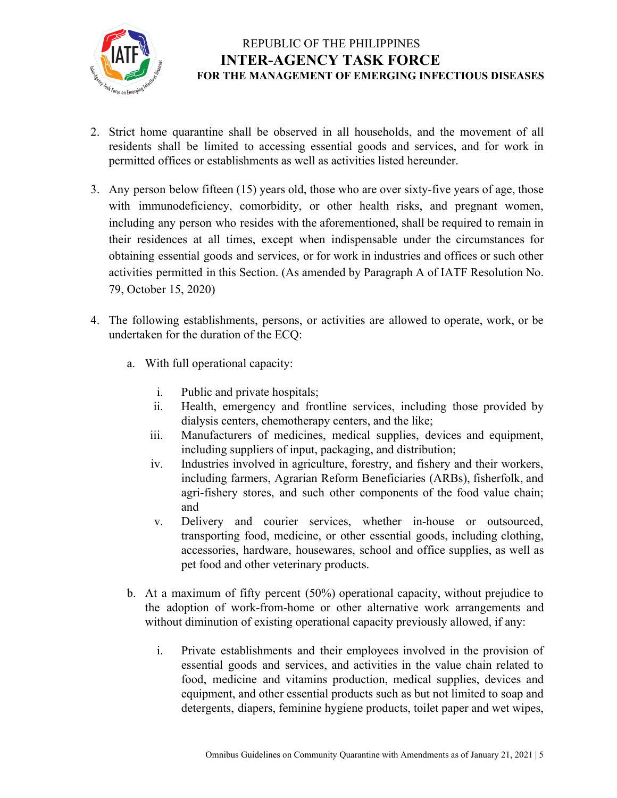

- 2. Strict home quarantine shall be observed in all households, and the movement of all residents shall be limited to accessing essential goods and services, and for work in permitted offices or establishments as well as activities listed hereunder.
- 3. Any person below fifteen (15) years old, those who are over sixty-five years of age, those with immunodeficiency, comorbidity, or other health risks, and pregnant women, including any person who resides with the aforementioned, shall be required to remain in their residences at all times, except when indispensable under the circumstances for obtaining essential goods and services, or for work in industries and offices or such other activities permitted in this Section. (As amended by Paragraph A of IATF Resolution No. 79, October 15, 2020)
- 4. The following establishments, persons, or activities are allowed to operate, work, or be undertaken for the duration of the ECQ:
	- a. With full operational capacity:
		- i. Public and private hospitals;
		- ii. Health, emergency and frontline services, including those provided by dialysis centers, chemotherapy centers, and the like;
		- iii. Manufacturers of medicines, medical supplies, devices and equipment, including suppliers of input, packaging, and distribution;
		- iv. Industries involved in agriculture, forestry, and fishery and their workers, including farmers, Agrarian Reform Beneficiaries (ARBs), fisherfolk, and agri-fishery stores, and such other components of the food value chain; and
		- v. Delivery and courier services, whether in-house or outsourced, transporting food, medicine, or other essential goods, including clothing, accessories, hardware, housewares, school and office supplies, as well as pet food and other veterinary products.
	- b. At a maximum of fifty percent (50%) operational capacity, without prejudice to the adoption of work-from-home or other alternative work arrangements and without diminution of existing operational capacity previously allowed, if any:
		- i. Private establishments and their employees involved in the provision of essential goods and services, and activities in the value chain related to food, medicine and vitamins production, medical supplies, devices and equipment, and other essential products such as but not limited to soap and detergents, diapers, feminine hygiene products, toilet paper and wet wipes,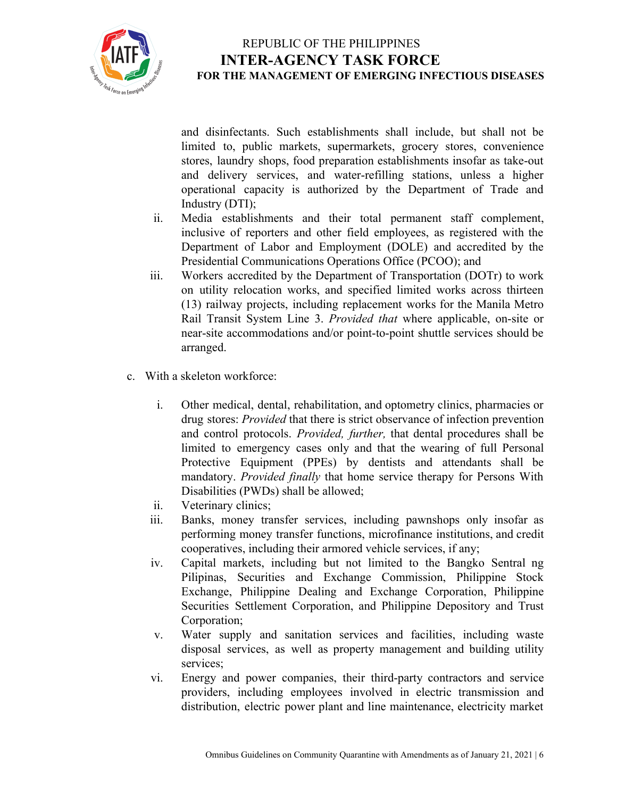

and disinfectants. Such establishments shall include, but shall not be limited to, public markets, supermarkets, grocery stores, convenience stores, laundry shops, food preparation establishments insofar as take-out and delivery services, and water-refilling stations, unless a higher operational capacity is authorized by the Department of Trade and Industry (DTI);

- ii. Media establishments and their total permanent staff complement, inclusive of reporters and other field employees, as registered with the Department of Labor and Employment (DOLE) and accredited by the Presidential Communications Operations Office (PCOO); and
- iii. Workers accredited by the Department of Transportation (DOTr) to work on utility relocation works, and specified limited works across thirteen (13) railway projects, including replacement works for the Manila Metro Rail Transit System Line 3. *Provided that* where applicable, on-site or near-site accommodations and/or point-to-point shuttle services should be arranged.
- c. With a skeleton workforce:
	- i. Other medical, dental, rehabilitation, and optometry clinics, pharmacies or drug stores: *Provided* that there is strict observance of infection prevention and control protocols. *Provided, further,* that dental procedures shall be limited to emergency cases only and that the wearing of full Personal Protective Equipment (PPEs) by dentists and attendants shall be mandatory. *Provided finally* that home service therapy for Persons With Disabilities (PWDs) shall be allowed;
	- ii. Veterinary clinics;
	- iii. Banks, money transfer services, including pawnshops only insofar as performing money transfer functions, microfinance institutions, and credit cooperatives, including their armored vehicle services, if any;
	- iv. Capital markets, including but not limited to the Bangko Sentral ng Pilipinas, Securities and Exchange Commission, Philippine Stock Exchange, Philippine Dealing and Exchange Corporation, Philippine Securities Settlement Corporation, and Philippine Depository and Trust Corporation;
	- v. Water supply and sanitation services and facilities, including waste disposal services, as well as property management and building utility services;
	- vi. Energy and power companies, their third-party contractors and service providers, including employees involved in electric transmission and distribution, electric power plant and line maintenance, electricity market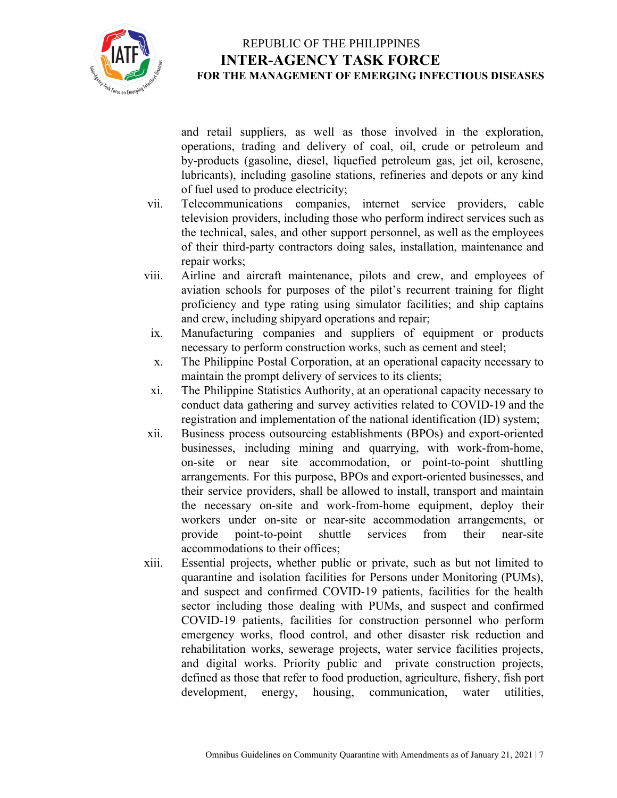

and retail suppliers, as well as those involved in the exploration, operations, trading and delivery of coal, oil, crude or petroleum and by-products (gasoline, diesel, liquefied petroleum gas, jet oil, kerosene, lubricants), including gasoline stations, refineries and depots or any kind of fuel used to produce electricity;

- vii. Telecommunications companies, internet service providers, cable television providers, including those who perform indirect services such as the technical, sales, and other support personnel, as well as the employees of their third-party contractors doing sales, installation, maintenance and repair works;
- viii. Airline and aircraft maintenance, pilots and crew, and employees of aviation schools for purposes of the pilot's recurrent training for flight proficiency and type rating using simulator facilities; and ship captains and crew, including shipyard operations and repair;
- ix. Manufacturing companies and suppliers of equipment or products necessary to perform construction works, such as cement and steel;
- x. The Philippine Postal Corporation, at an operational capacity necessary to maintain the prompt delivery of services to its clients;
- xi. The Philippine Statistics Authority, at an operational capacity necessary to conduct data gathering and survey activities related to COVID-19 and the registration and implementation of the national identification (ID) system;
- xii. Business process outsourcing establishments (BPOs) and export-oriented businesses, including mining and quarrying, with work-from-home, on-site or near site accommodation, or point-to-point shuttling arrangements. For this purpose, BPOs and export-oriented businesses, and their service providers, shall be allowed to install, transport and maintain the necessary on-site and work-from-home equipment, deploy their workers under on-site or near-site accommodation arrangements, or provide point-to-point shuttle services from their near-site accommodations to their offices;
- xiii. Essential projects, whether public or private, such as but not limited to quarantine and isolation facilities for Persons under Monitoring (PUMs), and suspect and confirmed COVID-19 patients, facilities for the health sector including those dealing with PUMs, and suspect and confirmed COVID-19 patients, facilities for construction personnel who perform emergency works, flood control, and other disaster risk reduction and rehabilitation works, sewerage projects, water service facilities projects, and digital works. Priority public and private construction projects, defined as those that refer to food production, agriculture, fishery, fish port development, energy, housing, communication, water utilities,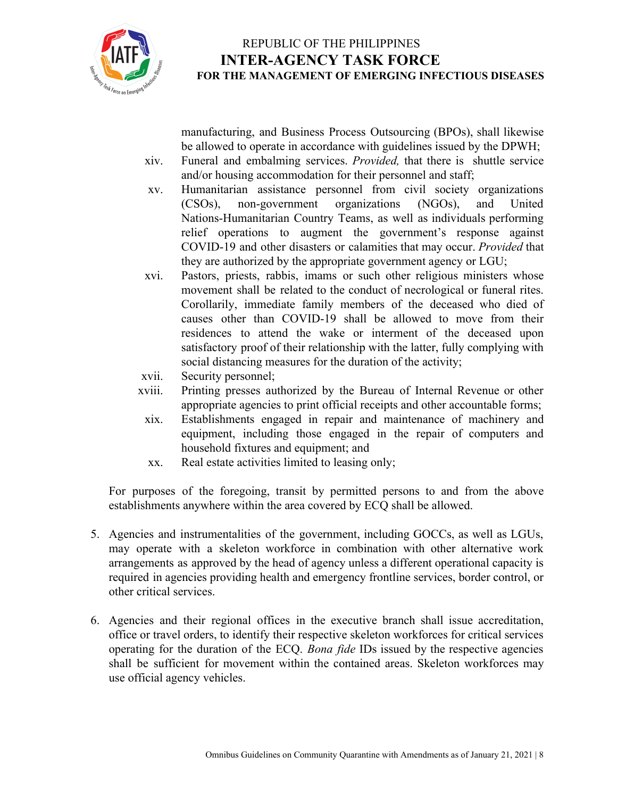

manufacturing, and Business Process Outsourcing (BPOs), shall likewise be allowed to operate in accordance with guidelines issued by the DPWH;

- xiv. Funeral and embalming services. *Provided,* that there is shuttle service and/or housing accommodation for their personnel and staff;
- xv. Humanitarian assistance personnel from civil society organizations (CSOs), non-government organizations (NGOs), and United Nations-Humanitarian Country Teams, as well as individuals performing relief operations to augment the government's response against COVID-19 and other disasters or calamities that may occur. *Provided* that they are authorized by the appropriate government agency or LGU;
- xvi. Pastors, priests, rabbis, imams or such other religious ministers whose movement shall be related to the conduct of necrological or funeral rites. Corollarily, immediate family members of the deceased who died of causes other than COVID-19 shall be allowed to move from their residences to attend the wake or interment of the deceased upon satisfactory proof of their relationship with the latter, fully complying with social distancing measures for the duration of the activity;
- xvii. Security personnel;
- xviii. Printing presses authorized by the Bureau of Internal Revenue or other appropriate agencies to print official receipts and other accountable forms;
- xix. Establishments engaged in repair and maintenance of machinery and equipment, including those engaged in the repair of computers and household fixtures and equipment; and
- xx. Real estate activities limited to leasing only;

For purposes of the foregoing, transit by permitted persons to and from the above establishments anywhere within the area covered by ECQ shall be allowed.

- 5. Agencies and instrumentalities of the government, including GOCCs, as well as LGUs, may operate with a skeleton workforce in combination with other alternative work arrangements as approved by the head of agency unless a different operational capacity is required in agencies providing health and emergency frontline services, border control, or other critical services.
- 6. Agencies and their regional offices in the executive branch shall issue accreditation, office or travel orders, to identify their respective skeleton workforces for critical services operating for the duration of the ECQ. *Bona fide* IDs issued by the respective agencies shall be sufficient for movement within the contained areas. Skeleton workforces may use official agency vehicles.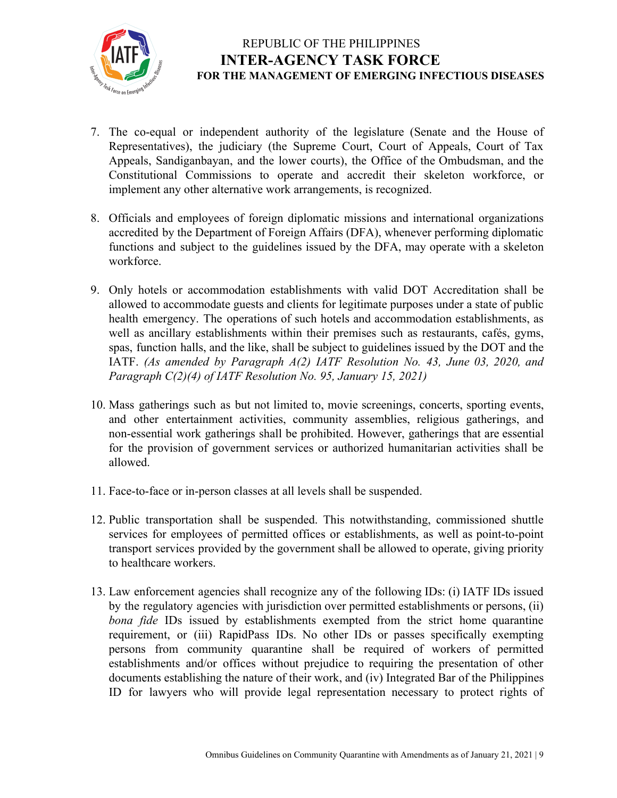

- 7. The co-equal or independent authority of the legislature (Senate and the House of Representatives), the judiciary (the Supreme Court, Court of Appeals, Court of Tax Appeals, Sandiganbayan, and the lower courts), the Office of the Ombudsman, and the Constitutional Commissions to operate and accredit their skeleton workforce, or implement any other alternative work arrangements, is recognized.
- 8. Officials and employees of foreign diplomatic missions and international organizations accredited by the Department of Foreign Affairs (DFA), whenever performing diplomatic functions and subject to the guidelines issued by the DFA, may operate with a skeleton workforce.
- 9. Only hotels or accommodation establishments with valid DOT Accreditation shall be allowed to accommodate guests and clients for legitimate purposes under a state of public health emergency. The operations of such hotels and accommodation establishments, as well as ancillary establishments within their premises such as restaurants, cafés, gyms, spas, function halls, and the like, shall be subject to guidelines issued by the DOT and the IATF. *(As amended by Paragraph A(2) IATF Resolution No. 43, June 03, 2020, and Paragraph C(2)(4) of IATF Resolution No. 95, January 15, 2021)*
- 10. Mass gatherings such as but not limited to, movie screenings, concerts, sporting events, and other entertainment activities, community assemblies, religious gatherings, and non-essential work gatherings shall be prohibited. However, gatherings that are essential for the provision of government services or authorized humanitarian activities shall be allowed.
- 11. Face-to-face or in-person classes at all levels shall be suspended.
- 12. Public transportation shall be suspended. This notwithstanding, commissioned shuttle services for employees of permitted offices or establishments, as well as point-to-point transport services provided by the government shall be allowed to operate, giving priority to healthcare workers.
- 13. Law enforcement agencies shall recognize any of the following IDs: (i) IATF IDs issued by the regulatory agencies with jurisdiction over permitted establishments or persons, (ii) *bona fide* IDs issued by establishments exempted from the strict home quarantine requirement, or (iii) RapidPass IDs. No other IDs or passes specifically exempting persons from community quarantine shall be required of workers of permitted establishments and/or offices without prejudice to requiring the presentation of other documents establishing the nature of their work, and (iv) Integrated Bar of the Philippines ID for lawyers who will provide legal representation necessary to protect rights of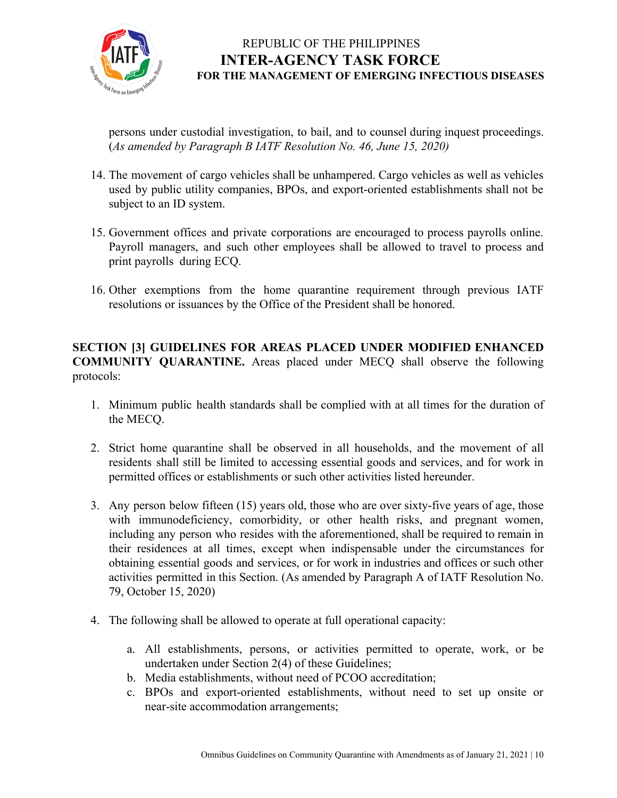

persons under custodial investigation, to bail, and to counsel during inquest proceedings. (*As amended by Paragraph B IATF Resolution No. 46, June 15, 2020)*

- 14. The movement of cargo vehicles shall be unhampered. Cargo vehicles as well as vehicles used by public utility companies, BPOs, and export-oriented establishments shall not be subject to an ID system.
- 15. Government offices and private corporations are encouraged to process payrolls online. Payroll managers, and such other employees shall be allowed to travel to process and print payrolls during ECQ.
- 16. Other exemptions from the home quarantine requirement through previous IATF resolutions or issuances by the Office of the President shall be honored.

#### **SECTION [3] GUIDELINES FOR AREAS PLACED UNDER MODIFIED ENHANCED COMMUNITY QUARANTINE.** Areas placed under MECQ shall observe the following protocols:

- 1. Minimum public health standards shall be complied with at all times for the duration of the MECQ.
- 2. Strict home quarantine shall be observed in all households, and the movement of all residents shall still be limited to accessing essential goods and services, and for work in permitted offices or establishments or such other activities listed hereunder.
- 3. Any person below fifteen (15) years old, those who are over sixty-five years of age, those with immunodeficiency, comorbidity, or other health risks, and pregnant women, including any person who resides with the aforementioned, shall be required to remain in their residences at all times, except when indispensable under the circumstances for obtaining essential goods and services, or for work in industries and offices or such other activities permitted in this Section. (As amended by Paragraph A of IATF Resolution No. 79, October 15, 2020)
- 4. The following shall be allowed to operate at full operational capacity:
	- a. All establishments, persons, or activities permitted to operate, work, or be undertaken under Section 2(4) of these Guidelines;
	- b. Media establishments, without need of PCOO accreditation;
	- c. BPOs and export-oriented establishments, without need to set up onsite or near-site accommodation arrangements;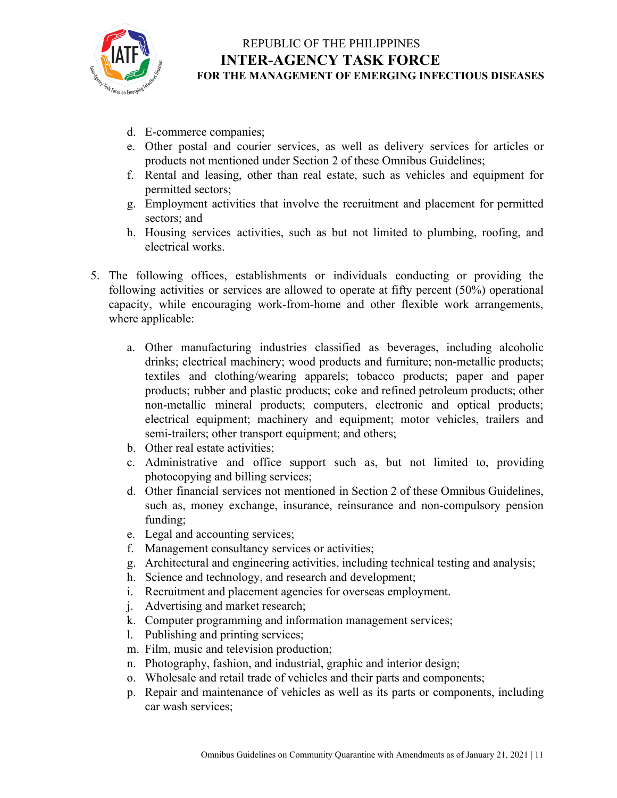

- d. E-commerce companies;
- e. Other postal and courier services, as well as delivery services for articles or products not mentioned under Section 2 of these Omnibus Guidelines;
- f. Rental and leasing, other than real estate, such as vehicles and equipment for permitted sectors;
- g. Employment activities that involve the recruitment and placement for permitted sectors; and
- h. Housing services activities, such as but not limited to plumbing, roofing, and electrical works.
- 5. The following offices, establishments or individuals conducting or providing the following activities or services are allowed to operate at fifty percent (50%) operational capacity, while encouraging work-from-home and other flexible work arrangements, where applicable:
	- a. Other manufacturing industries classified as beverages, including alcoholic drinks; electrical machinery; wood products and furniture; non-metallic products; textiles and clothing/wearing apparels; tobacco products; paper and paper products; rubber and plastic products; coke and refined petroleum products; other non-metallic mineral products; computers, electronic and optical products; electrical equipment; machinery and equipment; motor vehicles, trailers and semi-trailers; other transport equipment; and others;
	- b. Other real estate activities;
	- c. Administrative and office support such as, but not limited to, providing photocopying and billing services;
	- d. Other financial services not mentioned in Section 2 of these Omnibus Guidelines, such as, money exchange, insurance, reinsurance and non-compulsory pension funding;
	- e. Legal and accounting services;
	- f. Management consultancy services or activities;
	- g. Architectural and engineering activities, including technical testing and analysis;
	- h. Science and technology, and research and development;
	- i. Recruitment and placement agencies for overseas employment.
	- j. Advertising and market research;
	- k. Computer programming and information management services;
	- l. Publishing and printing services;
	- m. Film, music and television production;
	- n. Photography, fashion, and industrial, graphic and interior design;
	- o. Wholesale and retail trade of vehicles and their parts and components;
	- p. Repair and maintenance of vehicles as well as its parts or components, including car wash services;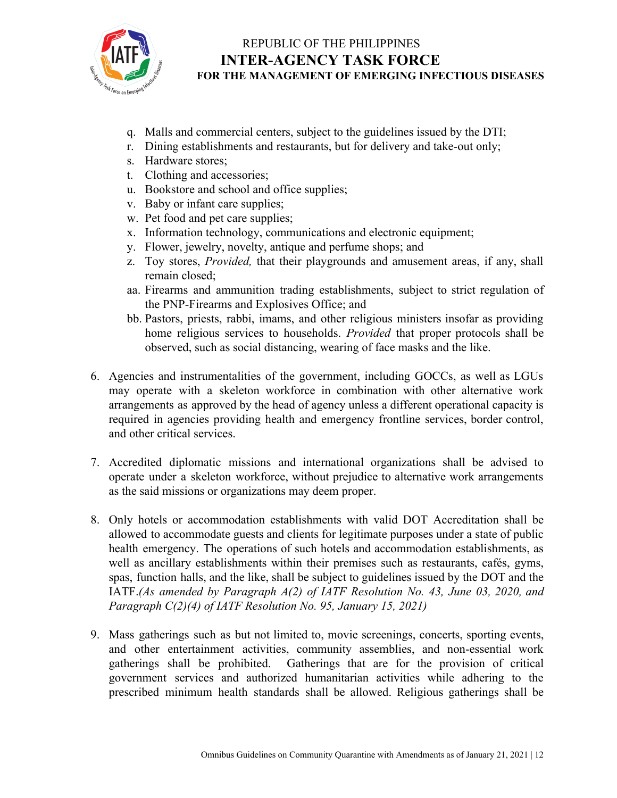

- q. Malls and commercial centers, subject to the guidelines issued by the DTI;
- r. Dining establishments and restaurants, but for delivery and take-out only;
- s. Hardware stores;
- t. Clothing and accessories;
- u. Bookstore and school and office supplies;
- v. Baby or infant care supplies;
- w. Pet food and pet care supplies;
- x. Information technology, communications and electronic equipment;
- y. Flower, jewelry, novelty, antique and perfume shops; and
- z. Toy stores, *Provided,* that their playgrounds and amusement areas, if any, shall remain closed;
- aa. Firearms and ammunition trading establishments, subject to strict regulation of the PNP-Firearms and Explosives Office; and
- bb. Pastors, priests, rabbi, imams, and other religious ministers insofar as providing home religious services to households. *Provided* that proper protocols shall be observed, such as social distancing, wearing of face masks and the like.
- 6. Agencies and instrumentalities of the government, including GOCCs, as well as LGUs may operate with a skeleton workforce in combination with other alternative work arrangements as approved by the head of agency unless a different operational capacity is required in agencies providing health and emergency frontline services, border control, and other critical services.
- 7. Accredited diplomatic missions and international organizations shall be advised to operate under a skeleton workforce, without prejudice to alternative work arrangements as the said missions or organizations may deem proper.
- 8. Only hotels or accommodation establishments with valid DOT Accreditation shall be allowed to accommodate guests and clients for legitimate purposes under a state of public health emergency. The operations of such hotels and accommodation establishments, as well as ancillary establishments within their premises such as restaurants, cafés, gyms, spas, function halls, and the like, shall be subject to guidelines issued by the DOT and the IATF.*(As amended by Paragraph A(2) of IATF Resolution No. 43, June 03, 2020, and Paragraph C(2)(4) of IATF Resolution No. 95, January 15, 2021)*
- 9. Mass gatherings such as but not limited to, movie screenings, concerts, sporting events, and other entertainment activities, community assemblies, and non-essential work gatherings shall be prohibited. Gatherings that are for the provision of critical government services and authorized humanitarian activities while adhering to the prescribed minimum health standards shall be allowed. Religious gatherings shall be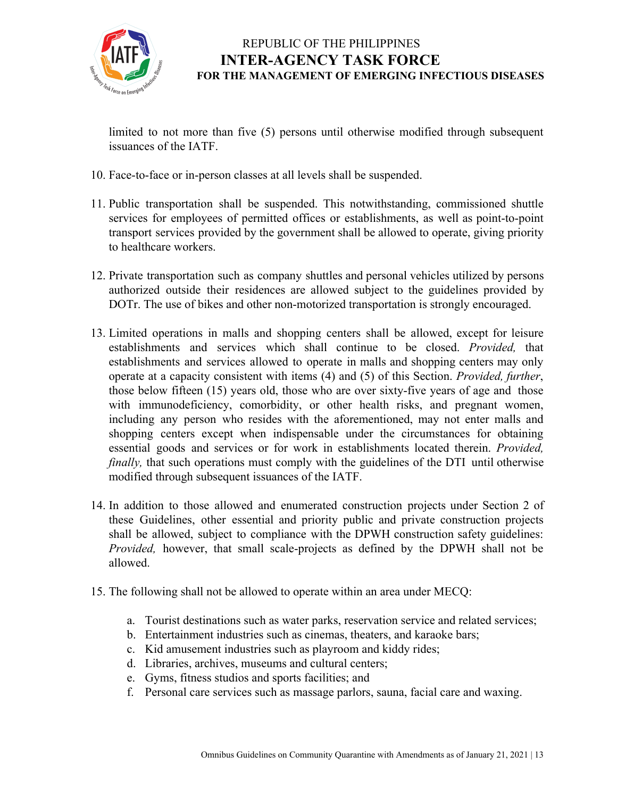

limited to not more than five (5) persons until otherwise modified through subsequent issuances of the IATF.

- 10. Face-to-face or in-person classes at all levels shall be suspended.
- 11. Public transportation shall be suspended. This notwithstanding, commissioned shuttle services for employees of permitted offices or establishments, as well as point-to-point transport services provided by the government shall be allowed to operate, giving priority to healthcare workers.
- 12. Private transportation such as company shuttles and personal vehicles utilized by persons authorized outside their residences are allowed subject to the guidelines provided by DOTr. The use of bikes and other non-motorized transportation is strongly encouraged.
- 13. Limited operations in malls and shopping centers shall be allowed, except for leisure establishments and services which shall continue to be closed. *Provided,* that establishments and services allowed to operate in malls and shopping centers may only operate at a capacity consistent with items (4) and (5) of this Section. *Provided, further*, those below fifteen (15) years old, those who are over sixty-five years of age and those with immunodeficiency, comorbidity, or other health risks, and pregnant women, including any person who resides with the aforementioned, may not enter malls and shopping centers except when indispensable under the circumstances for obtaining essential goods and services or for work in establishments located therein. *Provided, finally*, that such operations must comply with the guidelines of the DTI until otherwise modified through subsequent issuances of the IATF.
- 14. In addition to those allowed and enumerated construction projects under Section 2 of these Guidelines, other essential and priority public and private construction projects shall be allowed, subject to compliance with the DPWH construction safety guidelines: *Provided,* however, that small scale-projects as defined by the DPWH shall not be allowed.
- 15. The following shall not be allowed to operate within an area under MECQ:
	- a. Tourist destinations such as water parks, reservation service and related services;
	- b. Entertainment industries such as cinemas, theaters, and karaoke bars;
	- c. Kid amusement industries such as playroom and kiddy rides;
	- d. Libraries, archives, museums and cultural centers;
	- e. Gyms, fitness studios and sports facilities; and
	- f. Personal care services such as massage parlors, sauna, facial care and waxing.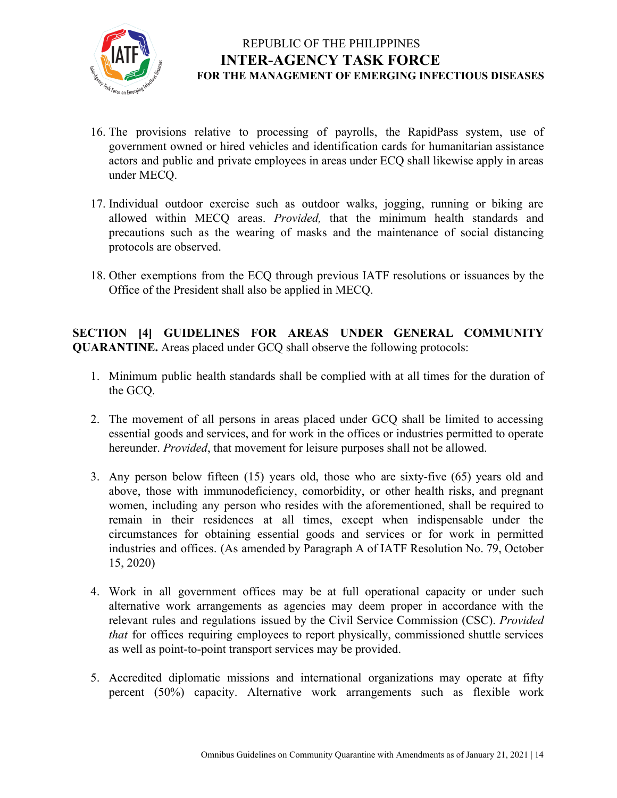

- 16. The provisions relative to processing of payrolls, the RapidPass system, use of government owned or hired vehicles and identification cards for humanitarian assistance actors and public and private employees in areas under ECQ shall likewise apply in areas under MECQ.
- 17. Individual outdoor exercise such as outdoor walks, jogging, running or biking are allowed within MECQ areas. *Provided,* that the minimum health standards and precautions such as the wearing of masks and the maintenance of social distancing protocols are observed.
- 18. Other exemptions from the ECQ through previous IATF resolutions or issuances by the Office of the President shall also be applied in MECQ.

**SECTION [4] GUIDELINES FOR AREAS UNDER GENERAL COMMUNITY QUARANTINE.** Areas placed under GCQ shall observe the following protocols:

- 1. Minimum public health standards shall be complied with at all times for the duration of the GCQ.
- 2. The movement of all persons in areas placed under GCQ shall be limited to accessing essential goods and services, and for work in the offices or industries permitted to operate hereunder. *Provided*, that movement for leisure purposes shall not be allowed.
- 3. Any person below fifteen (15) years old, those who are sixty-five (65) years old and above, those with immunodeficiency, comorbidity, or other health risks, and pregnant women, including any person who resides with the aforementioned, shall be required to remain in their residences at all times, except when indispensable under the circumstances for obtaining essential goods and services or for work in permitted industries and offices. (As amended by Paragraph A of IATF Resolution No. 79, October 15, 2020)
- 4. Work in all government offices may be at full operational capacity or under such alternative work arrangements as agencies may deem proper in accordance with the relevant rules and regulations issued by the Civil Service Commission (CSC). *Provided that* for offices requiring employees to report physically, commissioned shuttle services as well as point-to-point transport services may be provided.
- 5. Accredited diplomatic missions and international organizations may operate at fifty percent (50%) capacity. Alternative work arrangements such as flexible work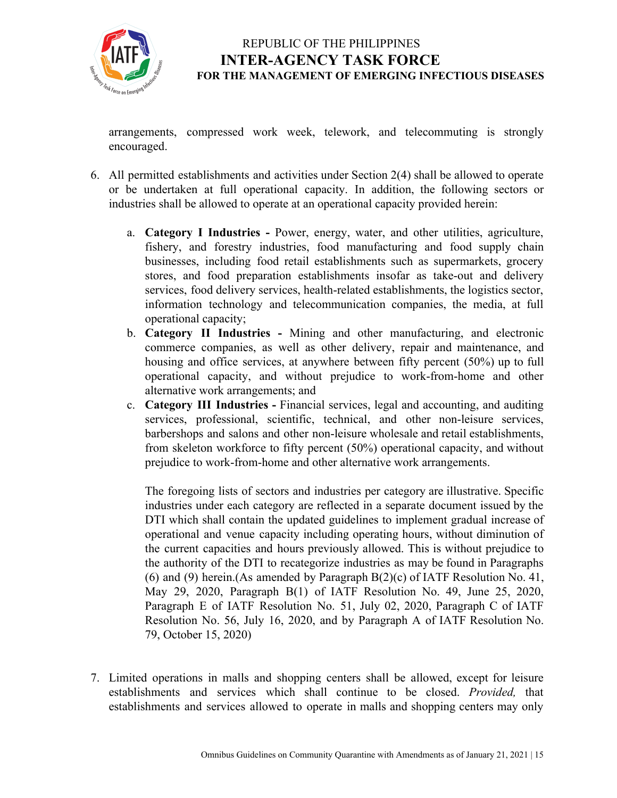

arrangements, compressed work week, telework, and telecommuting is strongly encouraged.

- 6. All permitted establishments and activities under Section 2(4) shall be allowed to operate or be undertaken at full operational capacity. In addition, the following sectors or industries shall be allowed to operate at an operational capacity provided herein:
	- a. **Category I Industries -** Power, energy, water, and other utilities, agriculture, fishery, and forestry industries, food manufacturing and food supply chain businesses, including food retail establishments such as supermarkets, grocery stores, and food preparation establishments insofar as take-out and delivery services, food delivery services, health-related establishments, the logistics sector, information technology and telecommunication companies, the media, at full operational capacity;
	- b. **Category II Industries -** Mining and other manufacturing, and electronic commerce companies, as well as other delivery, repair and maintenance, and housing and office services, at anywhere between fifty percent (50%) up to full operational capacity, and without prejudice to work-from-home and other alternative work arrangements; and
	- c. **Category III Industries -** Financial services, legal and accounting, and auditing services, professional, scientific, technical, and other non-leisure services, barbershops and salons and other non-leisure wholesale and retail establishments, from skeleton workforce to fifty percent (50%) operational capacity, and without prejudice to work-from-home and other alternative work arrangements.

The foregoing lists of sectors and industries per category are illustrative. Specific industries under each category are reflected in a separate document issued by the DTI which shall contain the updated guidelines to implement gradual increase of operational and venue capacity including operating hours, without diminution of the current capacities and hours previously allowed. This is without prejudice to the authority of the DTI to recategorize industries as may be found in Paragraphs (6) and (9) herein.(As amended by Paragraph  $B(2)(c)$  of IATF Resolution No. 41, May 29, 2020, Paragraph B(1) of IATF Resolution No. 49, June 25, 2020, Paragraph E of IATF Resolution No. 51, July 02, 2020, Paragraph C of IATF Resolution No. 56, July 16, 2020, and by Paragraph A of IATF Resolution No. 79, October 15, 2020)

7. Limited operations in malls and shopping centers shall be allowed, except for leisure establishments and services which shall continue to be closed. *Provided,* that establishments and services allowed to operate in malls and shopping centers may only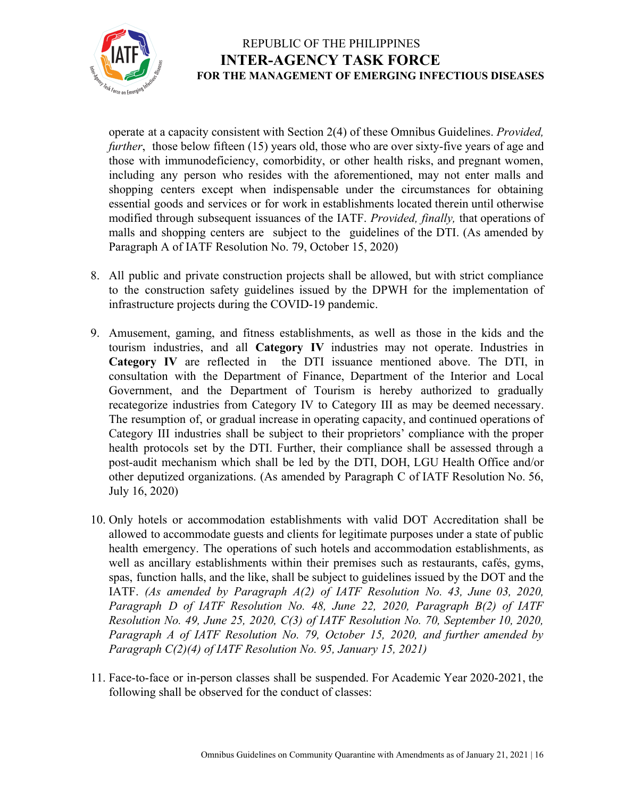

operate at a capacity consistent with Section 2(4) of these Omnibus Guidelines. *Provided, further*, those below fifteen (15) years old, those who are over sixty-five years of age and those with immunodeficiency, comorbidity, or other health risks, and pregnant women, including any person who resides with the aforementioned, may not enter malls and shopping centers except when indispensable under the circumstances for obtaining essential goods and services or for work in establishments located therein until otherwise modified through subsequent issuances of the IATF. *Provided, finally,* that operations of malls and shopping centers are subject to the guidelines of the DTI. (As amended by Paragraph A of IATF Resolution No. 79, October 15, 2020)

- 8. All public and private construction projects shall be allowed, but with strict compliance to the construction safety guidelines issued by the DPWH for the implementation of infrastructure projects during the COVID-19 pandemic.
- 9. Amusement, gaming, and fitness establishments, as well as those in the kids and the tourism industries, and all **Category IV** industries may not operate. Industries in **Category IV** are reflected in the DTI issuance mentioned above. The DTI, in consultation with the Department of Finance, Department of the Interior and Local Government, and the Department of Tourism is hereby authorized to gradually recategorize industries from Category IV to Category III as may be deemed necessary. The resumption of, or gradual increase in operating capacity, and continued operations of Category III industries shall be subject to their proprietors' compliance with the proper health protocols set by the DTI. Further, their compliance shall be assessed through a post-audit mechanism which shall be led by the DTI, DOH, LGU Health Office and/or other deputized organizations. (As amended by Paragraph C of IATF Resolution No. 56, July 16, 2020)
- 10. Only hotels or accommodation establishments with valid DOT Accreditation shall be allowed to accommodate guests and clients for legitimate purposes under a state of public health emergency. The operations of such hotels and accommodation establishments, as well as ancillary establishments within their premises such as restaurants, cafés, gyms, spas, function halls, and the like, shall be subject to guidelines issued by the DOT and the IATF. *(As amended by Paragraph A(2) of IATF Resolution No. 43, June 03, 2020, Paragraph D of IATF Resolution No. 48, June 22, 2020, Paragraph B(2) of IATF Resolution No. 49, June 25, 2020, C(3) of IATF Resolution No. 70, September 10, 2020, Paragraph A of IATF Resolution No. 79, October 15, 2020, and further amended by Paragraph C(2)(4) of IATF Resolution No. 95, January 15, 2021)*
- 11. Face-to-face or in-person classes shall be suspended. For Academic Year 2020-2021, the following shall be observed for the conduct of classes: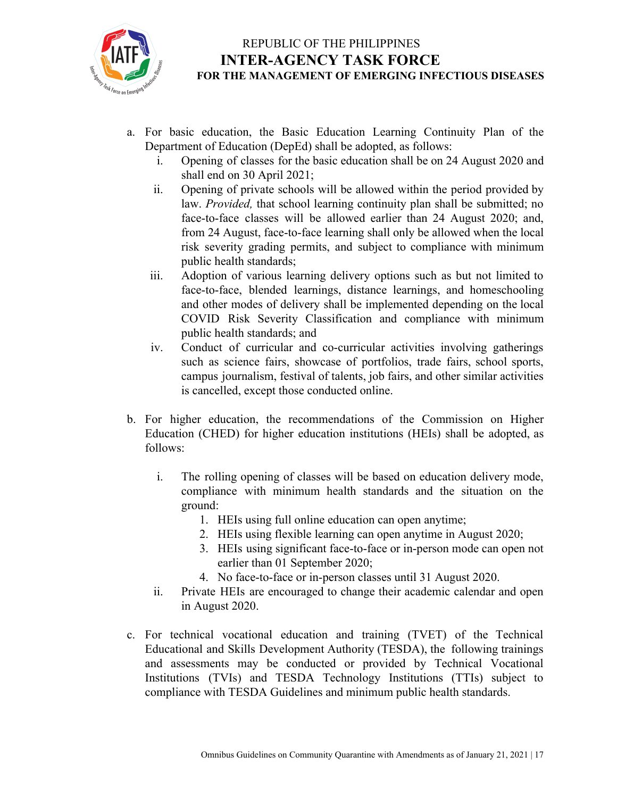

- a. For basic education, the Basic Education Learning Continuity Plan of the Department of Education (DepEd) shall be adopted, as follows:
	- i. Opening of classes for the basic education shall be on 24 August 2020 and shall end on 30 April 2021;
	- ii. Opening of private schools will be allowed within the period provided by law. *Provided,* that school learning continuity plan shall be submitted; no face-to-face classes will be allowed earlier than 24 August 2020; and, from 24 August, face-to-face learning shall only be allowed when the local risk severity grading permits, and subject to compliance with minimum public health standards;
	- iii. Adoption of various learning delivery options such as but not limited to face-to-face, blended learnings, distance learnings, and homeschooling and other modes of delivery shall be implemented depending on the local COVID Risk Severity Classification and compliance with minimum public health standards; and
	- iv. Conduct of curricular and co-curricular activities involving gatherings such as science fairs, showcase of portfolios, trade fairs, school sports, campus journalism, festival of talents, job fairs, and other similar activities is cancelled, except those conducted online.
- b. For higher education, the recommendations of the Commission on Higher Education (CHED) for higher education institutions (HEIs) shall be adopted, as follows:
	- i. The rolling opening of classes will be based on education delivery mode, compliance with minimum health standards and the situation on the ground:
		- 1. HEIs using full online education can open anytime;
		- 2. HEIs using flexible learning can open anytime in August 2020;
		- 3. HEIs using significant face-to-face or in-person mode can open not earlier than 01 September 2020;
		- 4. No face-to-face or in-person classes until 31 August 2020.
	- ii. Private HEIs are encouraged to change their academic calendar and open in August 2020.
- c. For technical vocational education and training (TVET) of the Technical Educational and Skills Development Authority (TESDA), the following trainings and assessments may be conducted or provided by Technical Vocational Institutions (TVIs) and TESDA Technology Institutions (TTIs) subject to compliance with TESDA Guidelines and minimum public health standards.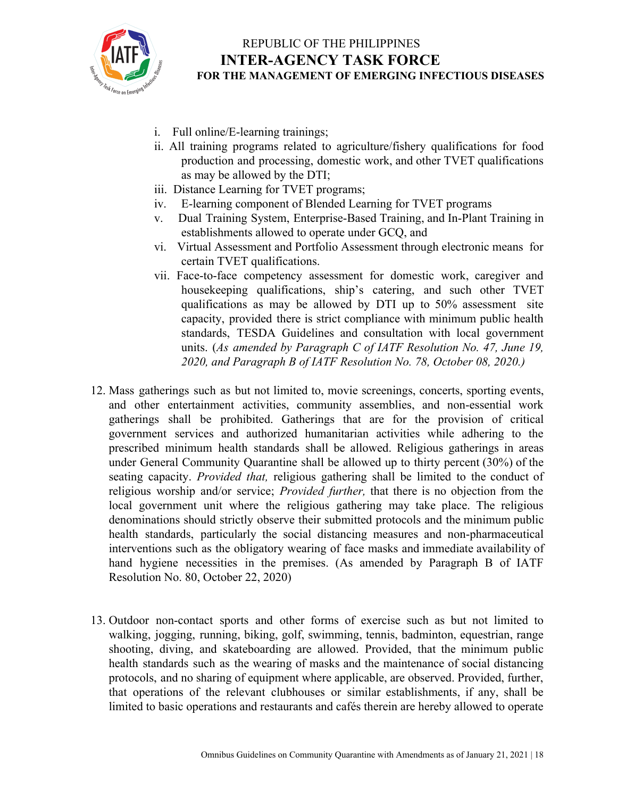

- i. Full online/E-learning trainings;
- ii. All training programs related to agriculture/fishery qualifications for food production and processing, domestic work, and other TVET qualifications as may be allowed by the DTI;
- iii. Distance Learning for TVET programs;
- iv. E-learning component of Blended Learning for TVET programs
- v. Dual Training System, Enterprise-Based Training, and In-Plant Training in establishments allowed to operate under GCQ, and
- vi. Virtual Assessment and Portfolio Assessment through electronic means for certain TVET qualifications.
- vii. Face-to-face competency assessment for domestic work, caregiver and housekeeping qualifications, ship's catering, and such other TVET qualifications as may be allowed by DTI up to 50% assessment site capacity, provided there is strict compliance with minimum public health standards, TESDA Guidelines and consultation with local government units. (*As amended by Paragraph C of IATF Resolution No. 47, June 19, 2020, and Paragraph B of IATF Resolution No. 78, October 08, 2020.)*
- 12. Mass gatherings such as but not limited to, movie screenings, concerts, sporting events, and other entertainment activities, community assemblies, and non-essential work gatherings shall be prohibited. Gatherings that are for the provision of critical government services and authorized humanitarian activities while adhering to the prescribed minimum health standards shall be allowed. Religious gatherings in areas under General Community Quarantine shall be allowed up to thirty percent (30%) of the seating capacity. *Provided that,* religious gathering shall be limited to the conduct of religious worship and/or service; *Provided further,* that there is no objection from the local government unit where the religious gathering may take place. The religious denominations should strictly observe their submitted protocols and the minimum public health standards, particularly the social distancing measures and non-pharmaceutical interventions such as the obligatory wearing of face masks and immediate availability of hand hygiene necessities in the premises. (As amended by Paragraph B of IATF Resolution No. 80, October 22, 2020)
- 13. Outdoor non-contact sports and other forms of exercise such as but not limited to walking, jogging, running, biking, golf, swimming, tennis, badminton, equestrian, range shooting, diving, and skateboarding are allowed. Provided, that the minimum public health standards such as the wearing of masks and the maintenance of social distancing protocols, and no sharing of equipment where applicable, are observed. Provided, further, that operations of the relevant clubhouses or similar establishments, if any, shall be limited to basic operations and restaurants and cafés therein are hereby allowed to operate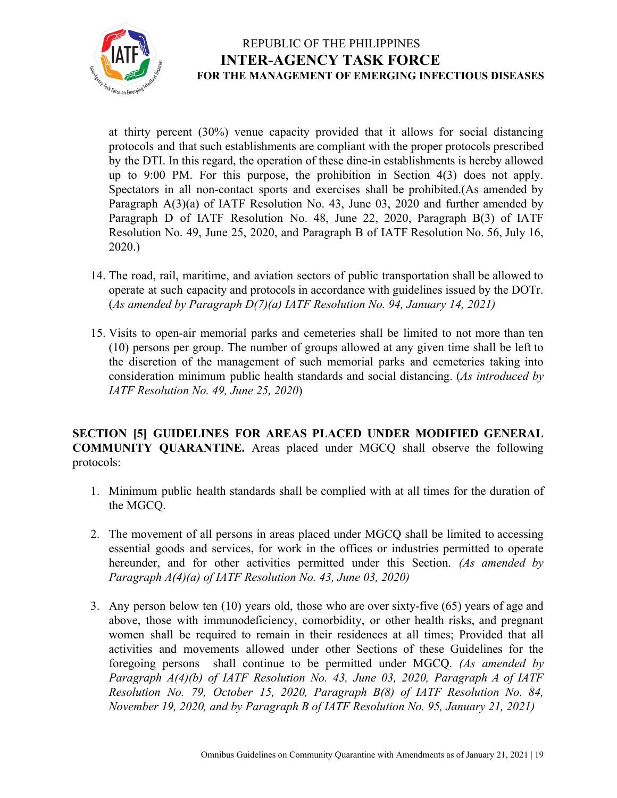

at thirty percent (30%) venue capacity provided that it allows for social distancing protocols and that such establishments are compliant with the proper protocols prescribed by the DTI. In this regard, the operation of these dine-in establishments is hereby allowed up to 9:00 PM. For this purpose, the prohibition in Section 4(3) does not apply. Spectators in all non-contact sports and exercises shall be prohibited.(As amended by Paragraph A(3)(a) of IATF Resolution No. 43, June 03, 2020 and further amended by Paragraph D of IATF Resolution No. 48, June 22, 2020, Paragraph B(3) of IATF Resolution No. 49, June 25, 2020, and Paragraph B of IATF Resolution No. 56, July 16, 2020.)

- 14. The road, rail, maritime, and aviation sectors of public transportation shall be allowed to operate at such capacity and protocols in accordance with guidelines issued by the DOTr. (*As amended by Paragraph D(7)(a) IATF Resolution No. 94, January 14, 2021)*
- 15. Visits to open-air memorial parks and cemeteries shall be limited to not more than ten (10) persons per group. The number of groups allowed at any given time shall be left to the discretion of the management of such memorial parks and cemeteries taking into consideration minimum public health standards and social distancing. (*As introduced by IATF Resolution No. 49, June 25, 2020*)

**SECTION [5] GUIDELINES FOR AREAS PLACED UNDER MODIFIED GENERAL COMMUNITY QUARANTINE.** Areas placed under MGCQ shall observe the following protocols:

- 1. Minimum public health standards shall be complied with at all times for the duration of the MGCQ.
- 2. The movement of all persons in areas placed under MGCQ shall be limited to accessing essential goods and services, for work in the offices or industries permitted to operate hereunder, and for other activities permitted under this Section. *(As amended by Paragraph A(4)(a) of IATF Resolution No. 43, June 03, 2020)*
- 3. Any person below ten (10) years old, those who are over sixty-five (65) years of age and above, those with immunodeficiency, comorbidity, or other health risks, and pregnant women shall be required to remain in their residences at all times; Provided that all activities and movements allowed under other Sections of these Guidelines for the foregoing persons shall continue to be permitted under MGCQ. *(As amended by Paragraph A(4)(b) of IATF Resolution No. 43, June 03, 2020, Paragraph A of IATF Resolution No. 79, October 15, 2020, Paragraph B(8) of IATF Resolution No. 84, November 19, 2020, and by Paragraph B of IATF Resolution No. 95, January 21, 2021)*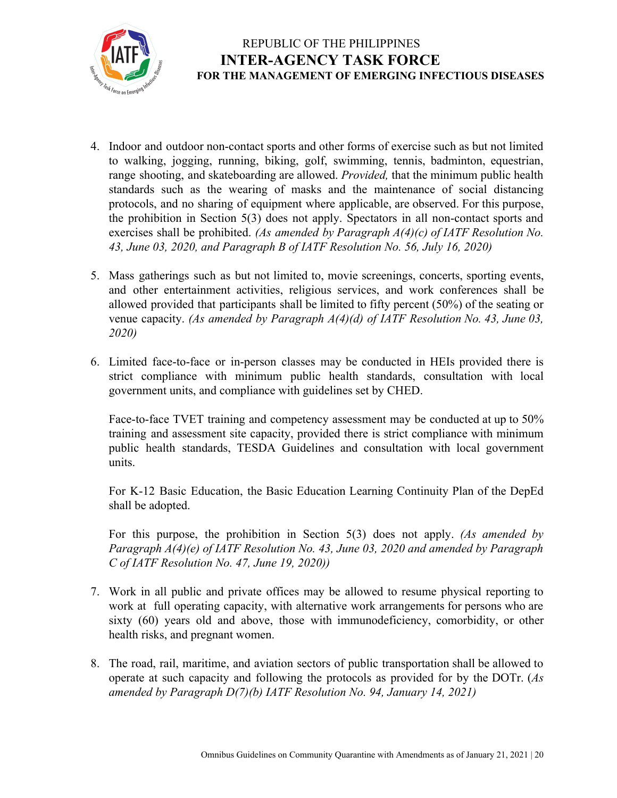

- 4. Indoor and outdoor non-contact sports and other forms of exercise such as but not limited to walking, jogging, running, biking, golf, swimming, tennis, badminton, equestrian, range shooting, and skateboarding are allowed. *Provided,* that the minimum public health standards such as the wearing of masks and the maintenance of social distancing protocols, and no sharing of equipment where applicable, are observed. For this purpose, the prohibition in Section 5(3) does not apply. Spectators in all non-contact sports and exercises shall be prohibited. *(As amended by Paragraph A(4)(c) of IATF Resolution No. 43, June 03, 2020, and Paragraph B of IATF Resolution No. 56, July 16, 2020)*
- 5. Mass gatherings such as but not limited to, movie screenings, concerts, sporting events, and other entertainment activities, religious services, and work conferences shall be allowed provided that participants shall be limited to fifty percent (50%) of the seating or venue capacity. *(As amended by Paragraph A(4)(d) of IATF Resolution No. 43, June 03, 2020)*
- 6. Limited face-to-face or in-person classes may be conducted in HEIs provided there is strict compliance with minimum public health standards, consultation with local government units, and compliance with guidelines set by CHED.

Face-to-face TVET training and competency assessment may be conducted at up to 50% training and assessment site capacity, provided there is strict compliance with minimum public health standards, TESDA Guidelines and consultation with local government units.

For K-12 Basic Education, the Basic Education Learning Continuity Plan of the DepEd shall be adopted.

For this purpose, the prohibition in Section 5(3) does not apply. *(As amended by Paragraph A(4)(e) of IATF Resolution No. 43, June 03, 2020 and amended by Paragraph C of IATF Resolution No. 47, June 19, 2020))*

- 7. Work in all public and private offices may be allowed to resume physical reporting to work at full operating capacity, with alternative work arrangements for persons who are sixty (60) years old and above, those with immunodeficiency, comorbidity, or other health risks, and pregnant women.
- 8. The road, rail, maritime, and aviation sectors of public transportation shall be allowed to operate at such capacity and following the protocols as provided for by the DOTr. (*As amended by Paragraph D(7)(b) IATF Resolution No. 94, January 14, 2021)*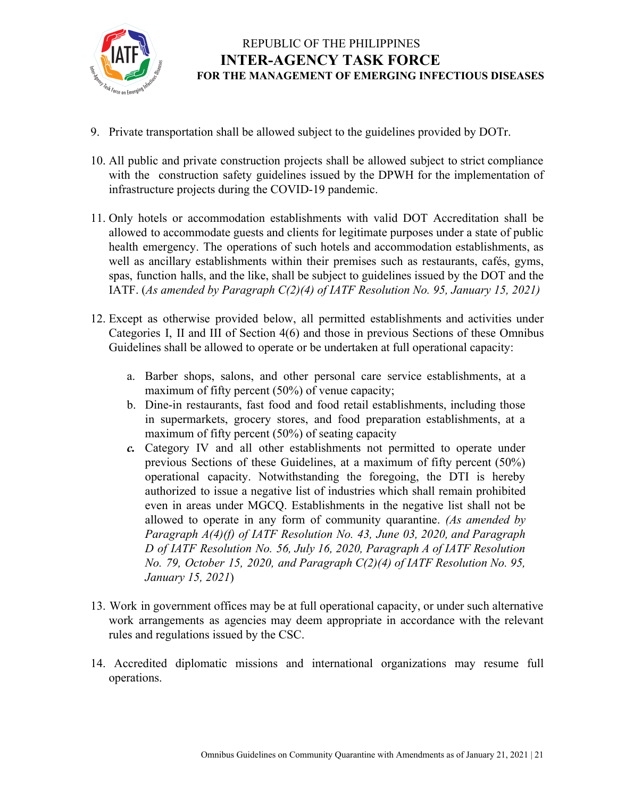

- 9. Private transportation shall be allowed subject to the guidelines provided by DOTr.
- 10. All public and private construction projects shall be allowed subject to strict compliance with the construction safety guidelines issued by the DPWH for the implementation of infrastructure projects during the COVID-19 pandemic.
- 11. Only hotels or accommodation establishments with valid DOT Accreditation shall be allowed to accommodate guests and clients for legitimate purposes under a state of public health emergency. The operations of such hotels and accommodation establishments, as well as ancillary establishments within their premises such as restaurants, cafés, gyms, spas, function halls, and the like, shall be subject to guidelines issued by the DOT and the IATF. (*As amended by Paragraph C(2)(4) of IATF Resolution No. 95, January 15, 2021)*
- 12. Except as otherwise provided below, all permitted establishments and activities under Categories I, II and III of Section 4(6) and those in previous Sections of these Omnibus Guidelines shall be allowed to operate or be undertaken at full operational capacity:
	- a. Barber shops, salons, and other personal care service establishments, at a maximum of fifty percent (50%) of venue capacity;
	- b. Dine-in restaurants, fast food and food retail establishments, including those in supermarkets, grocery stores, and food preparation establishments, at a maximum of fifty percent (50%) of seating capacity
	- *c.* Category IV and all other establishments not permitted to operate under previous Sections of these Guidelines, at a maximum of fifty percent (50%) operational capacity. Notwithstanding the foregoing, the DTI is hereby authorized to issue a negative list of industries which shall remain prohibited even in areas under MGCQ. Establishments in the negative list shall not be allowed to operate in any form of community quarantine. *(As amended by Paragraph A(4)(f) of IATF Resolution No. 43, June 03, 2020, and Paragraph D of IATF Resolution No. 56, July 16, 2020, Paragraph A of IATF Resolution No. 79, October 15, 2020, and Paragraph C(2)(4) of IATF Resolution No. 95, January 15, 2021*)
- 13. Work in government offices may be at full operational capacity, or under such alternative work arrangements as agencies may deem appropriate in accordance with the relevant rules and regulations issued by the CSC.
- 14. Accredited diplomatic missions and international organizations may resume full operations.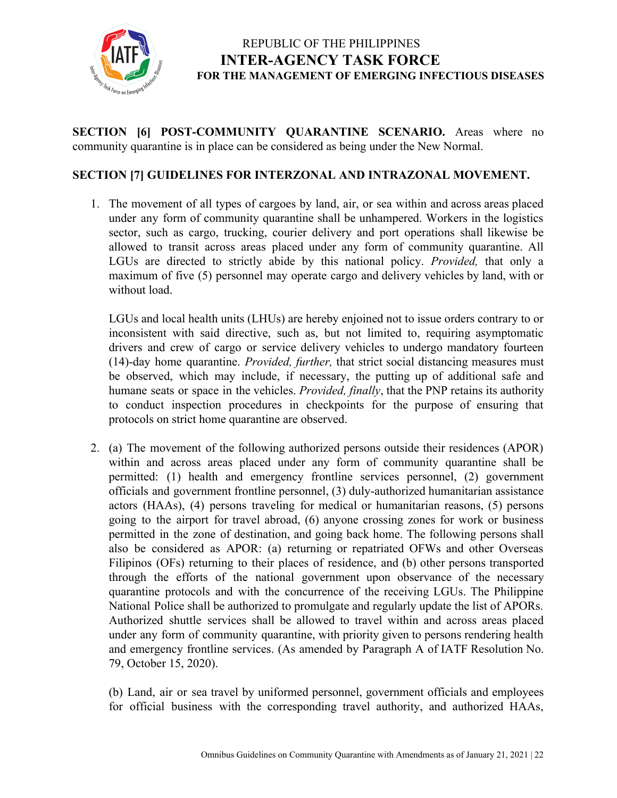

**SECTION [6] POST-COMMUNITY QUARANTINE SCENARIO.** Areas where no community quarantine is in place can be considered as being under the New Normal.

#### **SECTION [7] GUIDELINES FOR INTERZONAL AND INTRAZONAL MOVEMENT.**

1. The movement of all types of cargoes by land, air, or sea within and across areas placed under any form of community quarantine shall be unhampered. Workers in the logistics sector, such as cargo, trucking, courier delivery and port operations shall likewise be allowed to transit across areas placed under any form of community quarantine. All LGUs are directed to strictly abide by this national policy. *Provided,* that only a maximum of five (5) personnel may operate cargo and delivery vehicles by land, with or without load.

LGUs and local health units (LHUs) are hereby enjoined not to issue orders contrary to or inconsistent with said directive, such as, but not limited to, requiring asymptomatic drivers and crew of cargo or service delivery vehicles to undergo mandatory fourteen (14)-day home quarantine. *Provided, further,* that strict social distancing measures must be observed, which may include, if necessary, the putting up of additional safe and humane seats or space in the vehicles. *Provided, finally*, that the PNP retains its authority to conduct inspection procedures in checkpoints for the purpose of ensuring that protocols on strict home quarantine are observed.

2. (a) The movement of the following authorized persons outside their residences (APOR) within and across areas placed under any form of community quarantine shall be permitted: (1) health and emergency frontline services personnel, (2) government officials and government frontline personnel, (3) duly-authorized humanitarian assistance actors (HAAs), (4) persons traveling for medical or humanitarian reasons, (5) persons going to the airport for travel abroad, (6) anyone crossing zones for work or business permitted in the zone of destination, and going back home. The following persons shall also be considered as APOR: (a) returning or repatriated OFWs and other Overseas Filipinos (OFs) returning to their places of residence, and (b) other persons transported through the efforts of the national government upon observance of the necessary quarantine protocols and with the concurrence of the receiving LGUs. The Philippine National Police shall be authorized to promulgate and regularly update the list of APORs. Authorized shuttle services shall be allowed to travel within and across areas placed under any form of community quarantine, with priority given to persons rendering health and emergency frontline services. (As amended by Paragraph A of IATF Resolution No. 79, October 15, 2020).

(b) Land, air or sea travel by uniformed personnel, government officials and employees for official business with the corresponding travel authority, and authorized HAAs,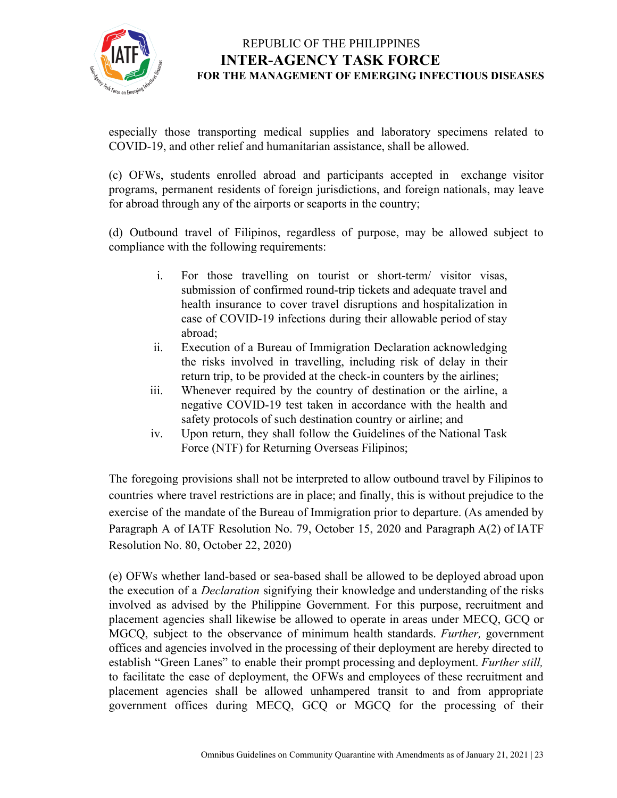

especially those transporting medical supplies and laboratory specimens related to COVID-19, and other relief and humanitarian assistance, shall be allowed.

(c) OFWs, students enrolled abroad and participants accepted in exchange visitor programs, permanent residents of foreign jurisdictions, and foreign nationals, may leave for abroad through any of the airports or seaports in the country;

(d) Outbound travel of Filipinos, regardless of purpose, may be allowed subject to compliance with the following requirements:

- i. For those travelling on tourist or short-term/ visitor visas, submission of confirmed round-trip tickets and adequate travel and health insurance to cover travel disruptions and hospitalization in case of COVID-19 infections during their allowable period of stay abroad;
- ii. Execution of a Bureau of Immigration Declaration acknowledging the risks involved in travelling, including risk of delay in their return trip, to be provided at the check-in counters by the airlines;
- iii. Whenever required by the country of destination or the airline, a negative COVID-19 test taken in accordance with the health and safety protocols of such destination country or airline; and
- iv. Upon return, they shall follow the Guidelines of the National Task Force (NTF) for Returning Overseas Filipinos;

The foregoing provisions shall not be interpreted to allow outbound travel by Filipinos to countries where travel restrictions are in place; and finally, this is without prejudice to the exercise of the mandate of the Bureau of Immigration prior to departure. (As amended by Paragraph A of IATF Resolution No. 79, October 15, 2020 and Paragraph A(2) of IATF Resolution No. 80, October 22, 2020)

(e) OFWs whether land-based or sea-based shall be allowed to be deployed abroad upon the execution of a *Declaration* signifying their knowledge and understanding of the risks involved as advised by the Philippine Government. For this purpose, recruitment and placement agencies shall likewise be allowed to operate in areas under MECQ, GCQ or MGCQ, subject to the observance of minimum health standards. *Further,* government offices and agencies involved in the processing of their deployment are hereby directed to establish "Green Lanes" to enable their prompt processing and deployment. *Further still,* to facilitate the ease of deployment, the OFWs and employees of these recruitment and placement agencies shall be allowed unhampered transit to and from appropriate government offices during MECQ, GCQ or MGCQ for the processing of their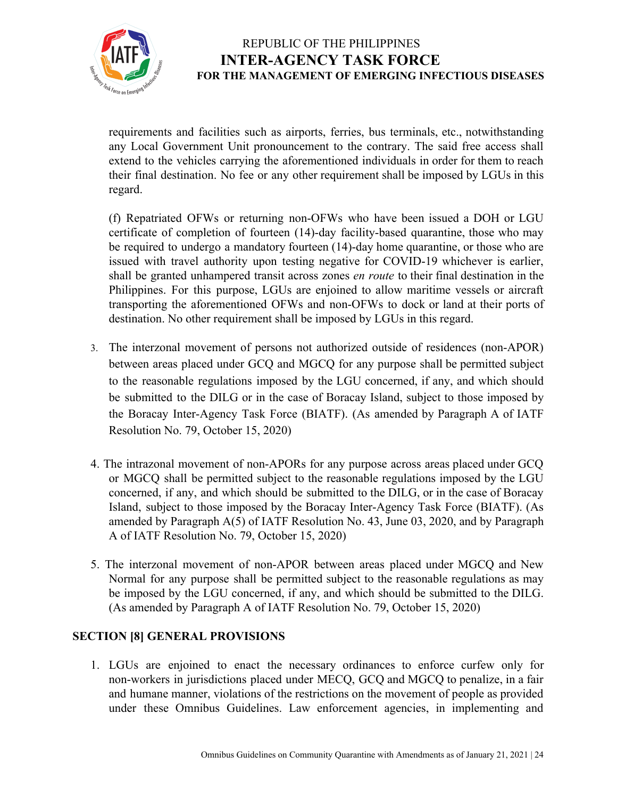

requirements and facilities such as airports, ferries, bus terminals, etc., notwithstanding any Local Government Unit pronouncement to the contrary. The said free access shall extend to the vehicles carrying the aforementioned individuals in order for them to reach their final destination. No fee or any other requirement shall be imposed by LGUs in this regard.

(f) Repatriated OFWs or returning non-OFWs who have been issued a DOH or LGU certificate of completion of fourteen (14)-day facility-based quarantine, those who may be required to undergo a mandatory fourteen (14)-day home quarantine, or those who are issued with travel authority upon testing negative for COVID-19 whichever is earlier, shall be granted unhampered transit across zones *en route* to their final destination in the Philippines. For this purpose, LGUs are enjoined to allow maritime vessels or aircraft transporting the aforementioned OFWs and non-OFWs to dock or land at their ports of destination. No other requirement shall be imposed by LGUs in this regard.

- 3. The interzonal movement of persons not authorized outside of residences (non-APOR) between areas placed under GCQ and MGCQ for any purpose shall be permitted subject to the reasonable regulations imposed by the LGU concerned, if any, and which should be submitted to the DILG or in the case of Boracay Island, subject to those imposed by the Boracay Inter-Agency Task Force (BIATF). (As amended by Paragraph A of IATF Resolution No. 79, October 15, 2020)
- 4. The intrazonal movement of non-APORs for any purpose across areas placed under GCQ or MGCQ shall be permitted subject to the reasonable regulations imposed by the LGU concerned, if any, and which should be submitted to the DILG, or in the case of Boracay Island, subject to those imposed by the Boracay Inter-Agency Task Force (BIATF). (As amended by Paragraph A(5) of IATF Resolution No. 43, June 03, 2020, and by Paragraph A of IATF Resolution No. 79, October 15, 2020)
- 5. The interzonal movement of non-APOR between areas placed under MGCQ and New Normal for any purpose shall be permitted subject to the reasonable regulations as may be imposed by the LGU concerned, if any, and which should be submitted to the DILG. (As amended by Paragraph A of IATF Resolution No. 79, October 15, 2020)

#### **SECTION [8] GENERAL PROVISIONS**

1. LGUs are enjoined to enact the necessary ordinances to enforce curfew only for non-workers in jurisdictions placed under MECQ, GCQ and MGCQ to penalize, in a fair and humane manner, violations of the restrictions on the movement of people as provided under these Omnibus Guidelines. Law enforcement agencies, in implementing and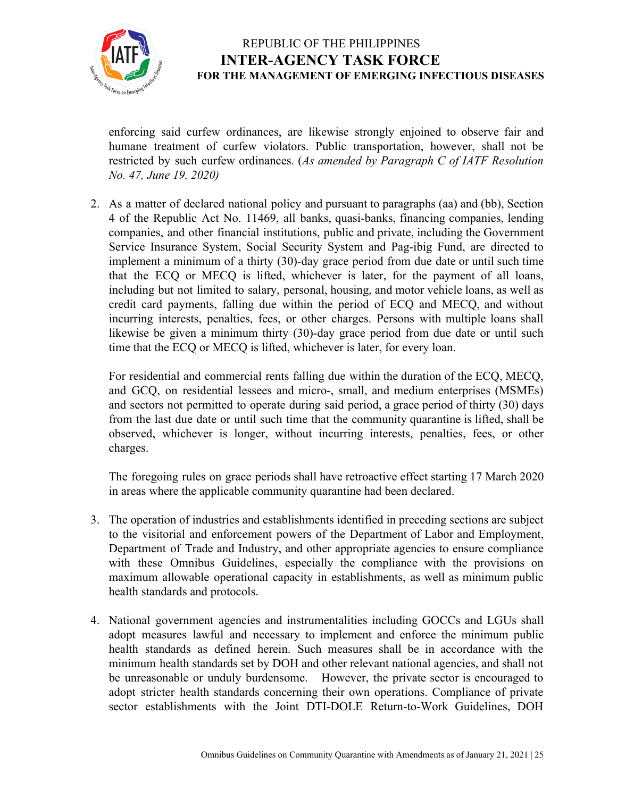

enforcing said curfew ordinances, are likewise strongly enjoined to observe fair and humane treatment of curfew violators. Public transportation, however, shall not be restricted by such curfew ordinances. (*As amended by Paragraph C of IATF Resolution No. 47, June 19, 2020)*

2. As a matter of declared national policy and pursuant to paragraphs (aa) and (bb), Section 4 of the Republic Act No. 11469, all banks, quasi-banks, financing companies, lending companies, and other financial institutions, public and private, including the Government Service Insurance System, Social Security System and Pag-ibig Fund, are directed to implement a minimum of a thirty (30)-day grace period from due date or until such time that the ECQ or MECQ is lifted, whichever is later, for the payment of all loans, including but not limited to salary, personal, housing, and motor vehicle loans, as well as credit card payments, falling due within the period of ECQ and MECQ, and without incurring interests, penalties, fees, or other charges. Persons with multiple loans shall likewise be given a minimum thirty (30)-day grace period from due date or until such time that the ECQ or MECQ is lifted, whichever is later, for every loan.

For residential and commercial rents falling due within the duration of the ECQ, MECQ, and GCQ, on residential lessees and micro-, small, and medium enterprises (MSMEs) and sectors not permitted to operate during said period, a grace period of thirty (30) days from the last due date or until such time that the community quarantine is lifted, shall be observed, whichever is longer, without incurring interests, penalties, fees, or other charges.

The foregoing rules on grace periods shall have retroactive effect starting 17 March 2020 in areas where the applicable community quarantine had been declared.

- 3. The operation of industries and establishments identified in preceding sections are subject to the visitorial and enforcement powers of the Department of Labor and Employment, Department of Trade and Industry, and other appropriate agencies to ensure compliance with these Omnibus Guidelines, especially the compliance with the provisions on maximum allowable operational capacity in establishments, as well as minimum public health standards and protocols.
- 4. National government agencies and instrumentalities including GOCCs and LGUs shall adopt measures lawful and necessary to implement and enforce the minimum public health standards as defined herein. Such measures shall be in accordance with the minimum health standards set by DOH and other relevant national agencies, and shall not be unreasonable or unduly burdensome. However, the private sector is encouraged to adopt stricter health standards concerning their own operations. Compliance of private sector establishments with the Joint DTI-DOLE Return-to-Work Guidelines, DOH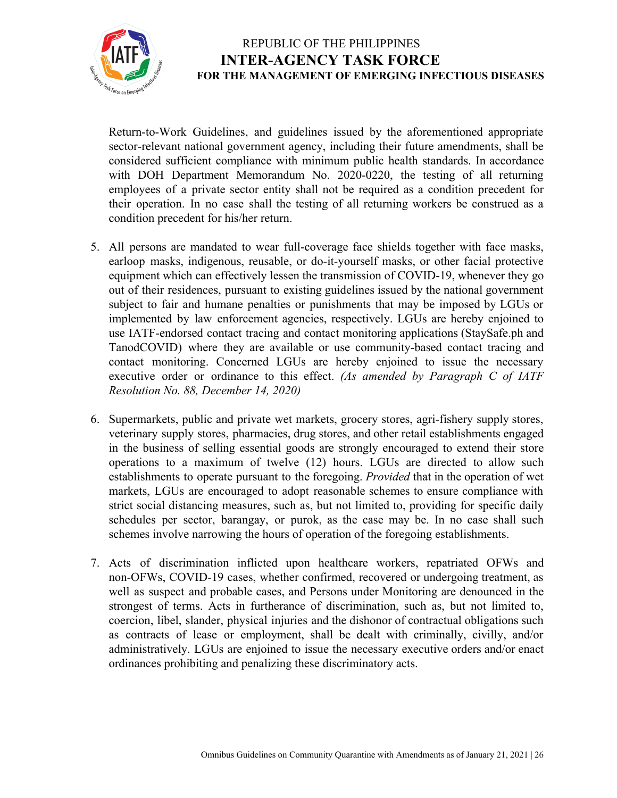

Return-to-Work Guidelines, and guidelines issued by the aforementioned appropriate sector-relevant national government agency, including their future amendments, shall be considered sufficient compliance with minimum public health standards. In accordance with DOH Department Memorandum No. 2020-0220, the testing of all returning employees of a private sector entity shall not be required as a condition precedent for their operation. In no case shall the testing of all returning workers be construed as a condition precedent for his/her return.

- 5. All persons are mandated to wear full-coverage face shields together with face masks, earloop masks, indigenous, reusable, or do-it-yourself masks, or other facial protective equipment which can effectively lessen the transmission of COVID-19, whenever they go out of their residences, pursuant to existing guidelines issued by the national government subject to fair and humane penalties or punishments that may be imposed by LGUs or implemented by law enforcement agencies, respectively. LGUs are hereby enjoined to use IATF-endorsed contact tracing and contact monitoring applications (StaySafe.ph and TanodCOVID) where they are available or use community-based contact tracing and contact monitoring. Concerned LGUs are hereby enjoined to issue the necessary executive order or ordinance to this effect. *(As amended by Paragraph C of IATF Resolution No. 88, December 14, 2020)*
- 6. Supermarkets, public and private wet markets, grocery stores, agri-fishery supply stores, veterinary supply stores, pharmacies, drug stores, and other retail establishments engaged in the business of selling essential goods are strongly encouraged to extend their store operations to a maximum of twelve (12) hours. LGUs are directed to allow such establishments to operate pursuant to the foregoing. *Provided* that in the operation of wet markets, LGUs are encouraged to adopt reasonable schemes to ensure compliance with strict social distancing measures, such as, but not limited to, providing for specific daily schedules per sector, barangay, or purok, as the case may be. In no case shall such schemes involve narrowing the hours of operation of the foregoing establishments.
- 7. Acts of discrimination inflicted upon healthcare workers, repatriated OFWs and non-OFWs, COVID-19 cases, whether confirmed, recovered or undergoing treatment, as well as suspect and probable cases, and Persons under Monitoring are denounced in the strongest of terms. Acts in furtherance of discrimination, such as, but not limited to, coercion, libel, slander, physical injuries and the dishonor of contractual obligations such as contracts of lease or employment, shall be dealt with criminally, civilly, and/or administratively. LGUs are enjoined to issue the necessary executive orders and/or enact ordinances prohibiting and penalizing these discriminatory acts.